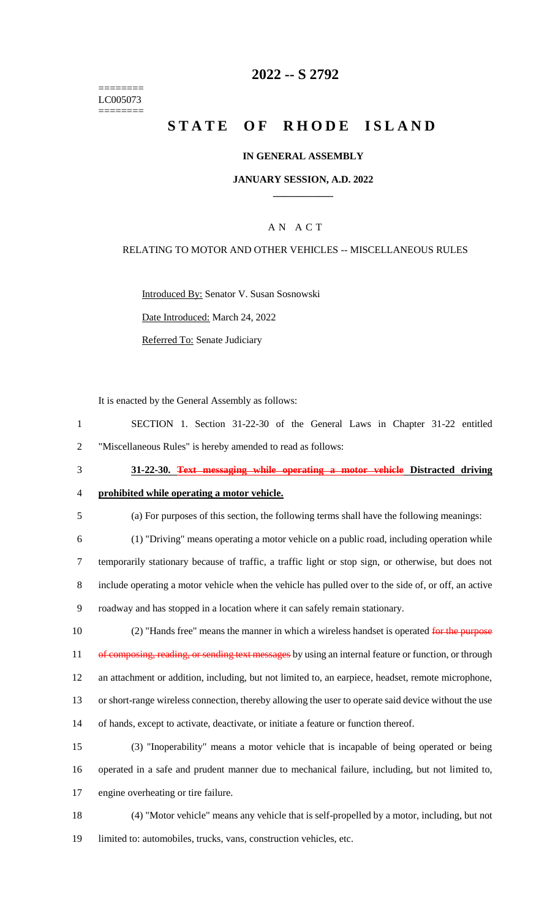======== LC005073 ========

## **2022 -- S 2792**

# **STATE OF RHODE ISLAND**

### **IN GENERAL ASSEMBLY**

### **JANUARY SESSION, A.D. 2022 \_\_\_\_\_\_\_\_\_\_\_\_**

### A N A C T

### RELATING TO MOTOR AND OTHER VEHICLES -- MISCELLANEOUS RULES

Introduced By: Senator V. Susan Sosnowski

Date Introduced: March 24, 2022

Referred To: Senate Judiciary

It is enacted by the General Assembly as follows:

- 1 SECTION 1. Section 31-22-30 of the General Laws in Chapter 31-22 entitled 2 "Miscellaneous Rules" is hereby amended to read as follows:
- 

### 3 **31-22-30. Text messaging while operating a motor vehicle Distracted driving**

# 4 **prohibited while operating a motor vehicle.**

5 (a) For purposes of this section, the following terms shall have the following meanings:

 (1) "Driving" means operating a motor vehicle on a public road, including operation while temporarily stationary because of traffic, a traffic light or stop sign, or otherwise, but does not include operating a motor vehicle when the vehicle has pulled over to the side of, or off, an active roadway and has stopped in a location where it can safely remain stationary.

10 (2) "Hands free" means the manner in which a wireless handset is operated for the purpose 11 of composing, reading, or sending text messages by using an internal feature or function, or through 12 an attachment or addition, including, but not limited to, an earpiece, headset, remote microphone, 13 or short-range wireless connection, thereby allowing the user to operate said device without the use 14 of hands, except to activate, deactivate, or initiate a feature or function thereof.

15 (3) "Inoperability" means a motor vehicle that is incapable of being operated or being 16 operated in a safe and prudent manner due to mechanical failure, including, but not limited to, 17 engine overheating or tire failure.

18 (4) "Motor vehicle" means any vehicle that is self-propelled by a motor, including, but not 19 limited to: automobiles, trucks, vans, construction vehicles, etc.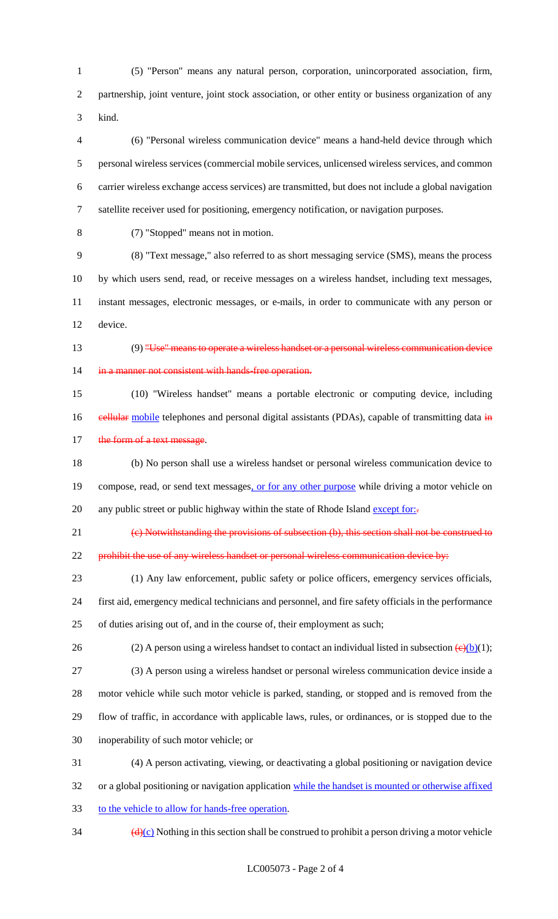(5) "Person" means any natural person, corporation, unincorporated association, firm, partnership, joint venture, joint stock association, or other entity or business organization of any kind.

 (6) "Personal wireless communication device" means a hand-held device through which personal wireless services (commercial mobile services, unlicensed wireless services, and common carrier wireless exchange access services) are transmitted, but does not include a global navigation satellite receiver used for positioning, emergency notification, or navigation purposes.

(7) "Stopped" means not in motion.

 (8) "Text message," also referred to as short messaging service (SMS), means the process by which users send, read, or receive messages on a wireless handset, including text messages, instant messages, electronic messages, or e-mails, in order to communicate with any person or device.

13 (9) "Use" means to operate a wireless handset or a personal wireless communication device 14 in a manner not consistent with hands free operation.

 (10) "Wireless handset" means a portable electronic or computing device, including 16 eellular mobile telephones and personal digital assistants (PDAs), capable of transmitting data in 17 the form of a text message.

 (b) No person shall use a wireless handset or personal wireless communication device to 19 compose, read, or send text messages, or for any other purpose while driving a motor vehicle on 20 any public street or public highway within the state of Rhode Island except for:-

(c) Notwithstanding the provisions of subsection (b), this section shall not be construed to

22 prohibit the use of any wireless handset or personal wireless communication device by:

 (1) Any law enforcement, public safety or police officers, emergency services officials, first aid, emergency medical technicians and personnel, and fire safety officials in the performance of duties arising out of, and in the course of, their employment as such;

26 (2) A person using a wireless handset to contact an individual listed in subsection  $\left(\frac{\theta}{b}(t)\right)$ .

(3) A person using a wireless handset or personal wireless communication device inside a

motor vehicle while such motor vehicle is parked, standing, or stopped and is removed from the

flow of traffic, in accordance with applicable laws, rules, or ordinances, or is stopped due to the

inoperability of such motor vehicle; or

 (4) A person activating, viewing, or deactivating a global positioning or navigation device or a global positioning or navigation application while the handset is mounted or otherwise affixed

to the vehicle to allow for hands-free operation.

 $\frac{d(x)}{dx}$  Nothing in this section shall be construed to prohibit a person driving a motor vehicle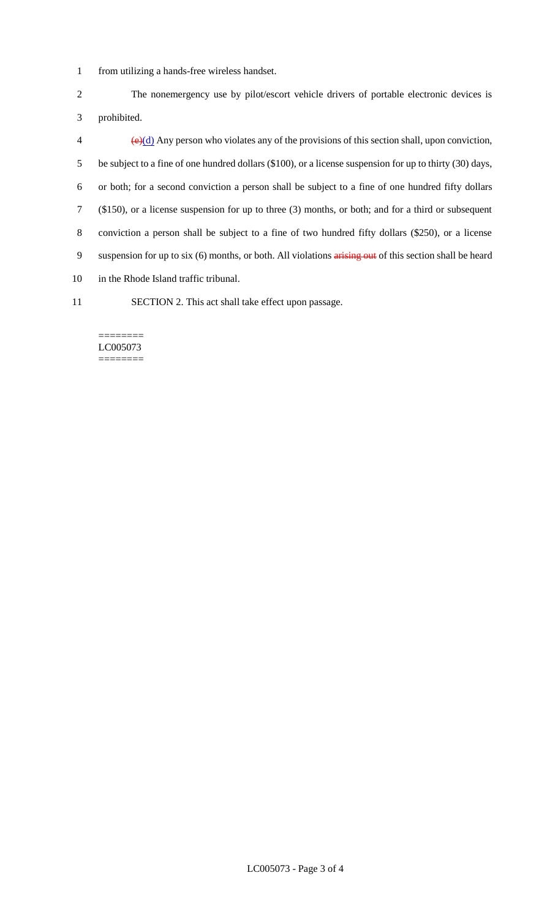1 from utilizing a hands-free wireless handset.

2 The nonemergency use by pilot/escort vehicle drivers of portable electronic devices is 3 prohibited.

 $\left(\frac{\theta}{\theta}\right)$  Any person who violates any of the provisions of this section shall, upon conviction, be subject to a fine of one hundred dollars (\$100), or a license suspension for up to thirty (30) days, or both; for a second conviction a person shall be subject to a fine of one hundred fifty dollars (\$150), or a license suspension for up to three (3) months, or both; and for a third or subsequent conviction a person shall be subject to a fine of two hundred fifty dollars (\$250), or a license 9 suspension for up to six (6) months, or both. All violations arising out of this section shall be heard in the Rhode Island traffic tribunal.

11 SECTION 2. This act shall take effect upon passage.

#### ======== LC005073 ========